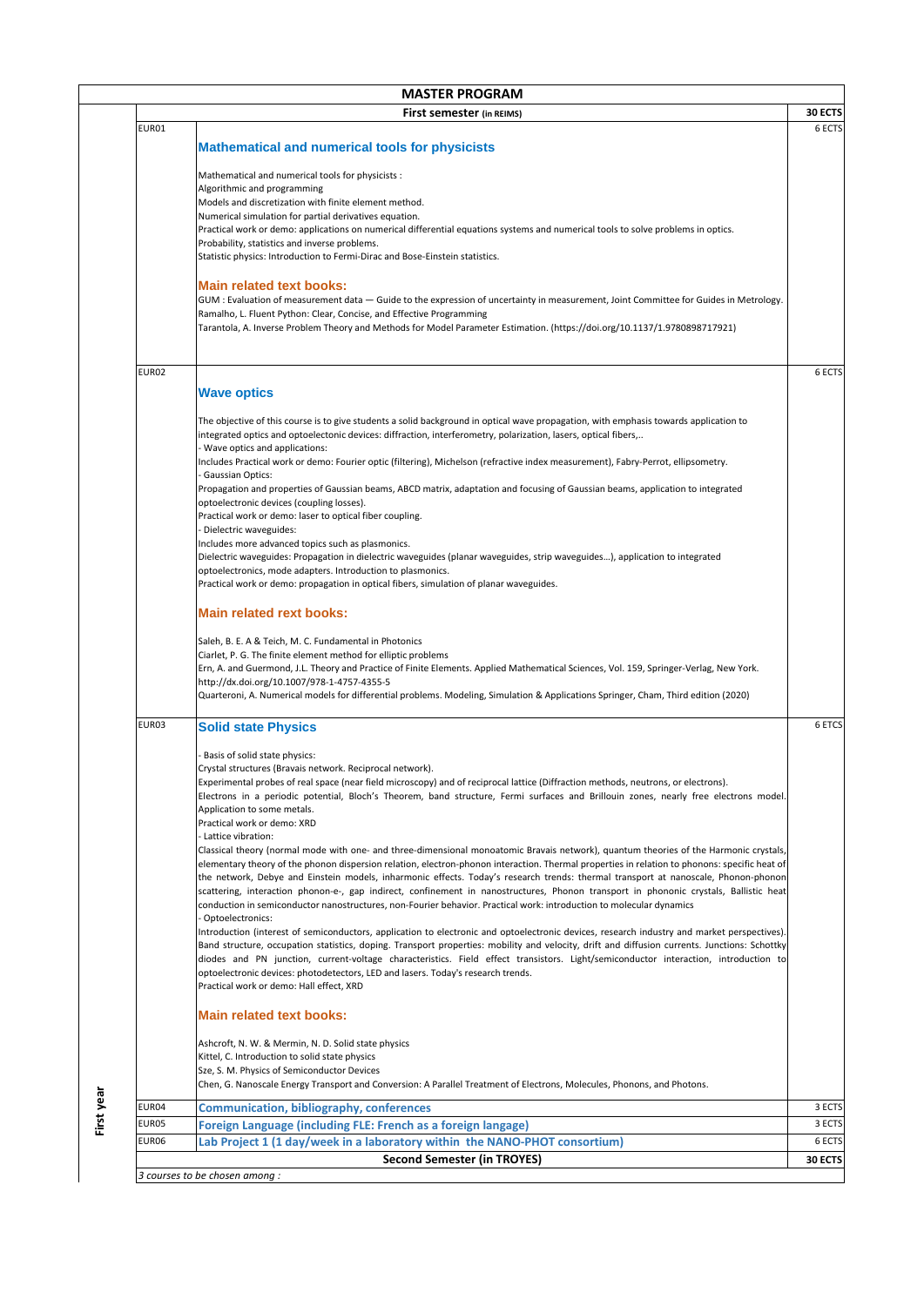| <b>EUR01</b> | <b>First semester</b> (in REIMS)                                                                                                                                                                                                                                                             |  |
|--------------|----------------------------------------------------------------------------------------------------------------------------------------------------------------------------------------------------------------------------------------------------------------------------------------------|--|
|              |                                                                                                                                                                                                                                                                                              |  |
|              | <b>Mathematical and numerical tools for physicists</b>                                                                                                                                                                                                                                       |  |
|              | Mathematical and numerical tools for physicists :                                                                                                                                                                                                                                            |  |
|              | Algorithmic and programming                                                                                                                                                                                                                                                                  |  |
|              | Models and discretization with finite element method.                                                                                                                                                                                                                                        |  |
|              | Numerical simulation for partial derivatives equation.                                                                                                                                                                                                                                       |  |
|              | Practical work or demo: applications on numerical differential equations systems and numerical tools to solve problems in optics.                                                                                                                                                            |  |
|              | Probability, statistics and inverse problems.                                                                                                                                                                                                                                                |  |
|              | Statistic physics: Introduction to Fermi-Dirac and Bose-Einstein statistics.                                                                                                                                                                                                                 |  |
|              | <b>Main related text books:</b>                                                                                                                                                                                                                                                              |  |
|              | GUM : Evaluation of measurement data - Guide to the expression of uncertainty in measurement, Joint Committee for Guides in Metrology.                                                                                                                                                       |  |
|              | Ramalho, L. Fluent Python: Clear, Concise, and Effective Programming                                                                                                                                                                                                                         |  |
|              | Tarantola, A. Inverse Problem Theory and Methods for Model Parameter Estimation. (https://doi.org/10.1137/1.9780898717921)                                                                                                                                                                   |  |
|              |                                                                                                                                                                                                                                                                                              |  |
| EUR02        |                                                                                                                                                                                                                                                                                              |  |
|              |                                                                                                                                                                                                                                                                                              |  |
|              | <b>Wave optics</b>                                                                                                                                                                                                                                                                           |  |
|              | The objective of this course is to give students a solid background in optical wave propagation, with emphasis towards application to                                                                                                                                                        |  |
|              | integrated optics and optoelectonic devices: diffraction, interferometry, polarization, lasers, optical fibers,                                                                                                                                                                              |  |
|              | Wave optics and applications:                                                                                                                                                                                                                                                                |  |
|              | Includes Practical work or demo: Fourier optic (filtering), Michelson (refractive index measurement), Fabry-Perrot, ellipsometry.                                                                                                                                                            |  |
|              | Gaussian Optics:<br>Propagation and properties of Gaussian beams, ABCD matrix, adaptation and focusing of Gaussian beams, application to integrated                                                                                                                                          |  |
|              | optoelectronic devices (coupling losses).                                                                                                                                                                                                                                                    |  |
|              | Practical work or demo: laser to optical fiber coupling.                                                                                                                                                                                                                                     |  |
|              | Dielectric waveguides:                                                                                                                                                                                                                                                                       |  |
|              | Includes more advanced topics such as plasmonics.                                                                                                                                                                                                                                            |  |
|              | Dielectric waveguides: Propagation in dielectric waveguides (planar waveguides, strip waveguides), application to integrated                                                                                                                                                                 |  |
|              | optoelectronics, mode adapters. Introduction to plasmonics.<br>Practical work or demo: propagation in optical fibers, simulation of planar waveguides.                                                                                                                                       |  |
|              |                                                                                                                                                                                                                                                                                              |  |
|              | <b>Main related rext books:</b>                                                                                                                                                                                                                                                              |  |
|              | Saleh, B. E. A & Teich, M. C. Fundamental in Photonics                                                                                                                                                                                                                                       |  |
|              | Ciarlet, P. G. The finite element method for elliptic problems                                                                                                                                                                                                                               |  |
|              | Ern, A. and Guermond, J.L. Theory and Practice of Finite Elements. Applied Mathematical Sciences, Vol. 159, Springer-Verlag, New York.                                                                                                                                                       |  |
|              | http://dx.doi.org/10.1007/978-1-4757-4355-5                                                                                                                                                                                                                                                  |  |
|              | Quarteroni, A. Numerical models for differential problems. Modeling, Simulation & Applications Springer, Cham, Third edition (2020)                                                                                                                                                          |  |
| EUR03        | <b>Solid state Physics</b>                                                                                                                                                                                                                                                                   |  |
|              | Basis of solid state physics:                                                                                                                                                                                                                                                                |  |
|              | Crystal structures (Bravais network. Reciprocal network).                                                                                                                                                                                                                                    |  |
|              | Experimental probes of real space (near field microscopy) and of reciprocal lattice (Diffraction methods, neutrons, or electrons).                                                                                                                                                           |  |
|              | Electrons in a periodic potential, Bloch's Theorem, band structure, Fermi surfaces and Brillouin zones, nearly free electrons model.                                                                                                                                                         |  |
|              | Application to some metals.                                                                                                                                                                                                                                                                  |  |
|              | Practical work or demo: XRD<br>Lattice vibration:                                                                                                                                                                                                                                            |  |
|              | Classical theory (normal mode with one- and three-dimensional monoatomic Bravais network), quantum theories of the Harmonic crystals,                                                                                                                                                        |  |
|              | elementary theory of the phonon dispersion relation, electron-phonon interaction. Thermal properties in relation to phonons: specific heat of                                                                                                                                                |  |
|              | the network, Debye and Einstein models, inharmonic effects. Today's research trends: thermal transport at nanoscale, Phonon-phonon                                                                                                                                                           |  |
|              | scattering, interaction phonon-e-, gap indirect, confinement in nanostructures, Phonon transport in phononic crystals, Ballistic heat                                                                                                                                                        |  |
|              | conduction in semiconductor nanostructures, non-Fourier behavior. Practical work: introduction to molecular dynamics                                                                                                                                                                         |  |
|              | Optoelectronics:                                                                                                                                                                                                                                                                             |  |
|              | Introduction (interest of semiconductors, application to electronic and optoelectronic devices, research industry and market perspectives).<br>Band structure, occupation statistics, doping. Transport properties: mobility and velocity, drift and diffusion currents. Junctions: Schottky |  |
|              | diodes and PN junction, current-voltage characteristics. Field effect transistors. Light/semiconductor interaction, introduction to                                                                                                                                                          |  |
|              | optoelectronic devices: photodetectors, LED and lasers. Today's research trends.                                                                                                                                                                                                             |  |
|              | Practical work or demo: Hall effect, XRD                                                                                                                                                                                                                                                     |  |
|              | <b>Main related text books:</b>                                                                                                                                                                                                                                                              |  |
|              | Ashcroft, N. W. & Mermin, N. D. Solid state physics                                                                                                                                                                                                                                          |  |
|              | Kittel, C. Introduction to solid state physics                                                                                                                                                                                                                                               |  |
|              | Sze, S. M. Physics of Semiconductor Devices                                                                                                                                                                                                                                                  |  |
|              | Chen, G. Nanoscale Energy Transport and Conversion: A Parallel Treatment of Electrons, Molecules, Phonons, and Photons.                                                                                                                                                                      |  |
| EUR04        | Communication, bibliography, conferences                                                                                                                                                                                                                                                     |  |
| EUR05        | Foreign Language (including FLE: French as a foreign langage)                                                                                                                                                                                                                                |  |
|              | Lab Project 1 (1 day/week in a laboratory within the NANO-PHOT consortium)                                                                                                                                                                                                                   |  |
| EUR06        |                                                                                                                                                                                                                                                                                              |  |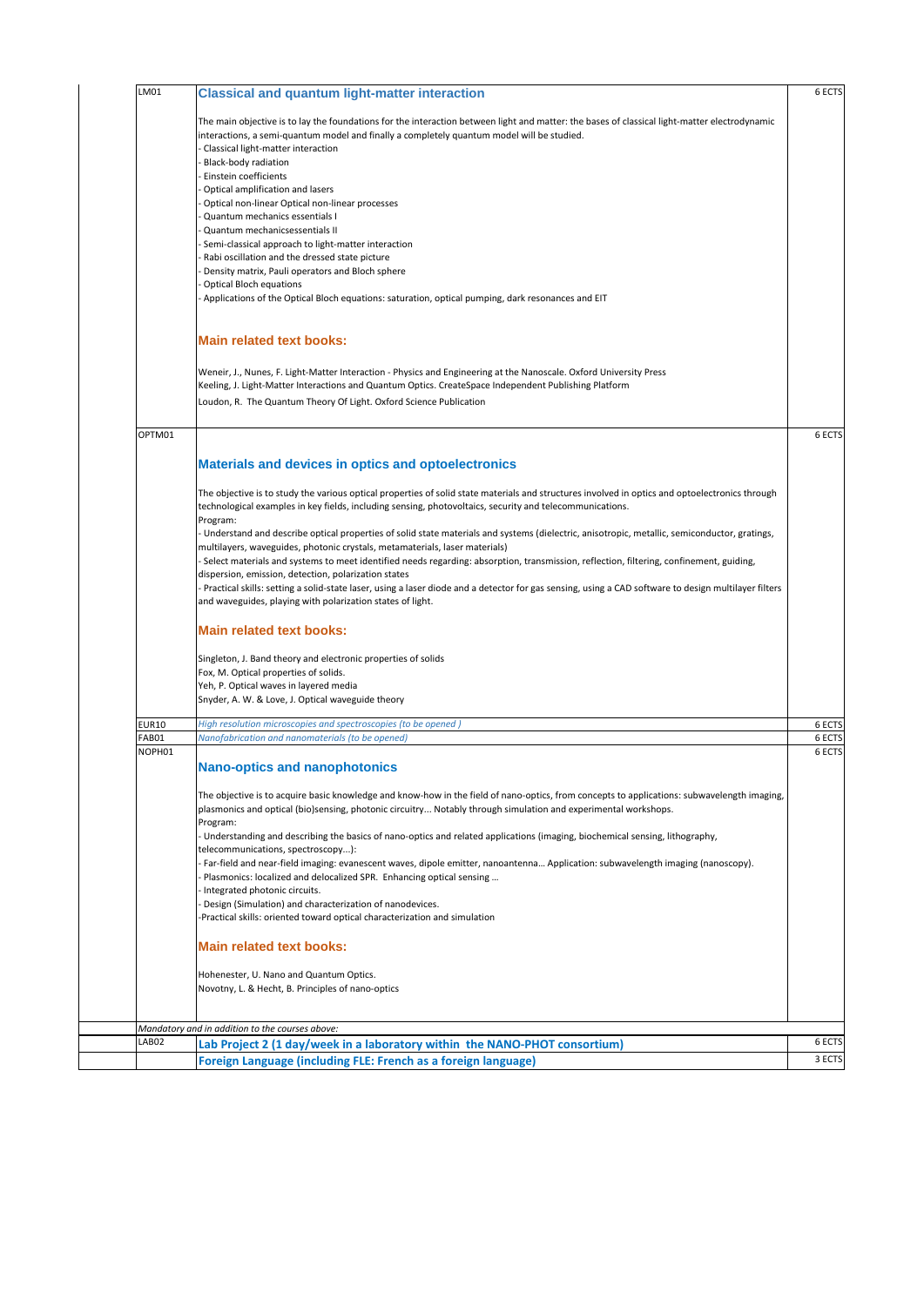| LM01         | <b>Classical and quantum light-matter interaction</b>                                                                                                                                                                                                         | 6 ECTS |
|--------------|---------------------------------------------------------------------------------------------------------------------------------------------------------------------------------------------------------------------------------------------------------------|--------|
|              | The main objective is to lay the foundations for the interaction between light and matter: the bases of classical light-matter electrodynamic                                                                                                                 |        |
|              | interactions, a semi-quantum model and finally a completely quantum model will be studied.                                                                                                                                                                    |        |
|              | Classical light-matter interaction                                                                                                                                                                                                                            |        |
|              | Black-body radiation                                                                                                                                                                                                                                          |        |
|              | Einstein coefficients                                                                                                                                                                                                                                         |        |
|              | Optical amplification and lasers                                                                                                                                                                                                                              |        |
|              | Optical non-linear Optical non-linear processes<br>Quantum mechanics essentials I                                                                                                                                                                             |        |
|              | Quantum mechanicsessentials II                                                                                                                                                                                                                                |        |
|              | Semi-classical approach to light-matter interaction                                                                                                                                                                                                           |        |
|              | Rabi oscillation and the dressed state picture                                                                                                                                                                                                                |        |
|              | Density matrix, Pauli operators and Bloch sphere                                                                                                                                                                                                              |        |
|              | Optical Bloch equations                                                                                                                                                                                                                                       |        |
|              | Applications of the Optical Bloch equations: saturation, optical pumping, dark resonances and EIT                                                                                                                                                             |        |
|              | <b>Main related text books:</b>                                                                                                                                                                                                                               |        |
|              | Weneir, J., Nunes, F. Light-Matter Interaction - Physics and Engineering at the Nanoscale. Oxford University Press                                                                                                                                            |        |
|              | Keeling, J. Light-Matter Interactions and Quantum Optics. CreateSpace Independent Publishing Platform                                                                                                                                                         |        |
|              | Loudon, R. The Quantum Theory Of Light. Oxford Science Publication                                                                                                                                                                                            |        |
| OPTM01       |                                                                                                                                                                                                                                                               | 6 ECTS |
|              | Materials and devices in optics and optoelectronics                                                                                                                                                                                                           |        |
|              | The objective is to study the various optical properties of solid state materials and structures involved in optics and optoelectronics through                                                                                                               |        |
|              | technological examples in key fields, including sensing, photovoltaics, security and telecommunications.                                                                                                                                                      |        |
|              | Program:                                                                                                                                                                                                                                                      |        |
|              | - Understand and describe optical properties of solid state materials and systems (dielectric, anisotropic, metallic, semiconductor, gratings,<br>multilayers, waveguides, photonic crystals, metamaterials, laser materials)                                 |        |
|              | Select materials and systems to meet identified needs regarding: absorption, transmission, reflection, filtering, confinement, guiding,                                                                                                                       |        |
|              | dispersion, emission, detection, polarization states                                                                                                                                                                                                          |        |
|              | - Practical skills: setting a solid-state laser, using a laser diode and a detector for gas sensing, using a CAD software to design multilayer filters                                                                                                        |        |
|              | and waveguides, playing with polarization states of light.                                                                                                                                                                                                    |        |
|              | <b>Main related text books:</b>                                                                                                                                                                                                                               |        |
|              | Singleton, J. Band theory and electronic properties of solids                                                                                                                                                                                                 |        |
|              | Fox, M. Optical properties of solids.                                                                                                                                                                                                                         |        |
|              | Yeh, P. Optical waves in layered media                                                                                                                                                                                                                        |        |
|              | Snyder, A. W. & Love, J. Optical waveguide theory                                                                                                                                                                                                             |        |
| <b>EUR10</b> | High resolution microscopies and spectroscopies (to be opened)                                                                                                                                                                                                | 6 ECTS |
| FAB01        | Nanofabrication and nanomaterials (to be opened)                                                                                                                                                                                                              | 6 ECTS |
| NOPH01       |                                                                                                                                                                                                                                                               | 6 ECTS |
|              | <b>Nano-optics and nanophotonics</b>                                                                                                                                                                                                                          |        |
|              |                                                                                                                                                                                                                                                               |        |
|              | The objective is to acquire basic knowledge and know-how in the field of nano-optics, from concepts to applications: subwavelength imaging,<br>plasmonics and optical (bio)sensing, photonic circuitry Notably through simulation and experimental workshops. |        |
|              | Program:                                                                                                                                                                                                                                                      |        |
|              | - Understanding and describing the basics of nano-optics and related applications (imaging, biochemical sensing, lithography,                                                                                                                                 |        |
|              | telecommunications, spectroscopy):                                                                                                                                                                                                                            |        |
|              | Far-field and near-field imaging: evanescent waves, dipole emitter, nanoantenna Application: subwavelength imaging (nanoscopy).                                                                                                                               |        |
|              | Plasmonics: localized and delocalized SPR. Enhancing optical sensing                                                                                                                                                                                          |        |
|              | Integrated photonic circuits.<br>Design (Simulation) and characterization of nanodevices.                                                                                                                                                                     |        |
|              | -Practical skills: oriented toward optical characterization and simulation                                                                                                                                                                                    |        |
|              | <b>Main related text books:</b>                                                                                                                                                                                                                               |        |
|              | Hohenester, U. Nano and Quantum Optics.                                                                                                                                                                                                                       |        |
|              | Novotny, L. & Hecht, B. Principles of nano-optics                                                                                                                                                                                                             |        |
|              |                                                                                                                                                                                                                                                               |        |
| LAB02        | Mandatory and in addition to the courses above:<br>Lab Project 2 (1 day/week in a laboratory within the NANO-PHOT consortium)                                                                                                                                 | 6 ECTS |
|              | Foreign Language (including FLE: French as a foreign language)                                                                                                                                                                                                | 3 ECTS |
|              |                                                                                                                                                                                                                                                               |        |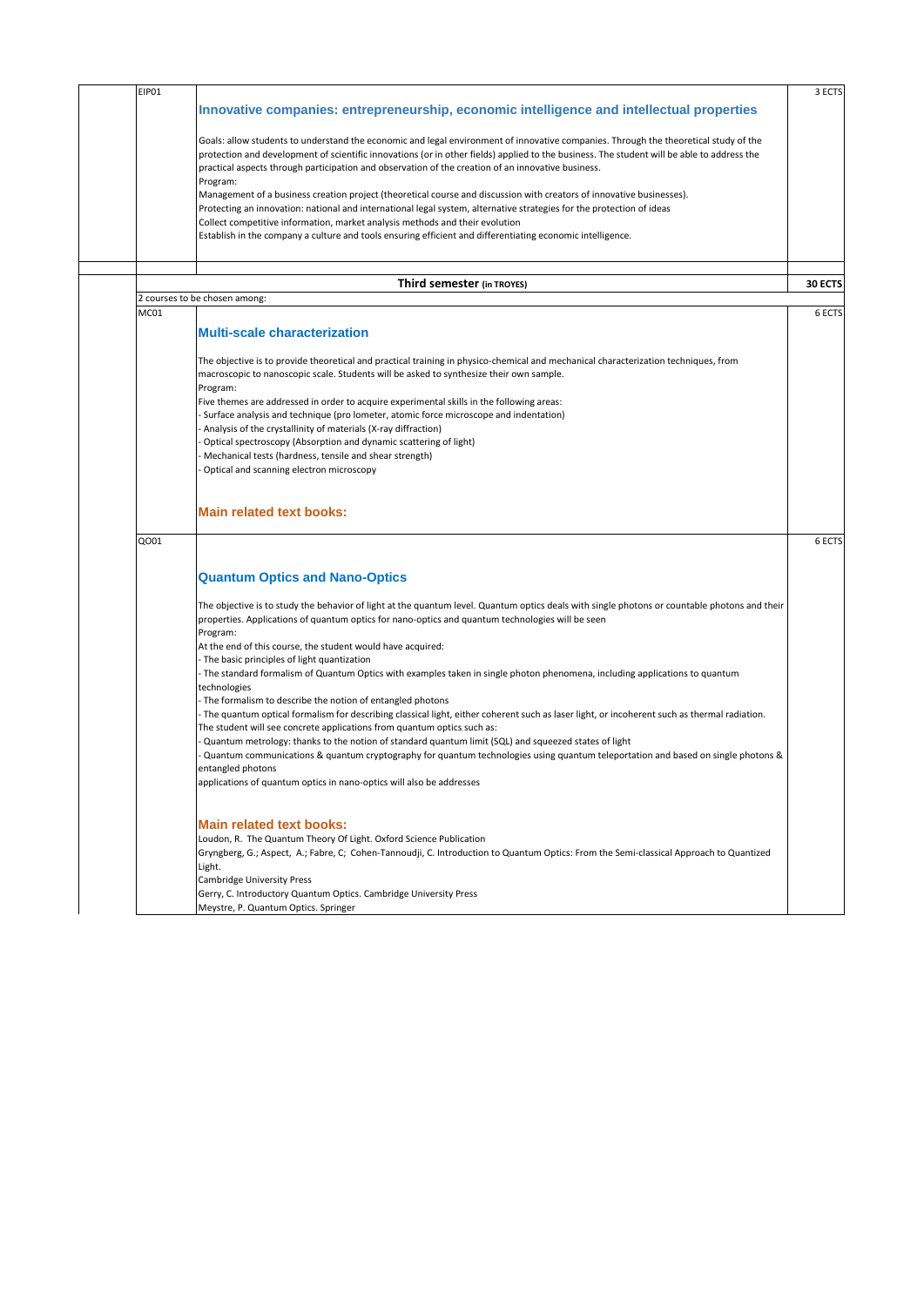| EIP01 |                                                                                                                                                                                                                                                | 3 ECTS  |
|-------|------------------------------------------------------------------------------------------------------------------------------------------------------------------------------------------------------------------------------------------------|---------|
|       | Innovative companies: entrepreneurship, economic intelligence and intellectual properties                                                                                                                                                      |         |
|       |                                                                                                                                                                                                                                                |         |
|       | Goals: allow students to understand the economic and legal environment of innovative companies. Through the theoretical study of the                                                                                                           |         |
|       | protection and development of scientific innovations (or in other fields) applied to the business. The student will be able to address the                                                                                                     |         |
|       | practical aspects through participation and observation of the creation of an innovative business.                                                                                                                                             |         |
|       | Program:                                                                                                                                                                                                                                       |         |
|       | Management of a business creation project (theoretical course and discussion with creators of innovative businesses).<br>Protecting an innovation: national and international legal system, alternative strategies for the protection of ideas |         |
|       | Collect competitive information, market analysis methods and their evolution                                                                                                                                                                   |         |
|       | Establish in the company a culture and tools ensuring efficient and differentiating economic intelligence.                                                                                                                                     |         |
|       |                                                                                                                                                                                                                                                |         |
|       |                                                                                                                                                                                                                                                |         |
|       | Third semester (in TROYES)                                                                                                                                                                                                                     | 30 ECTS |
|       | 2 courses to be chosen among:                                                                                                                                                                                                                  |         |
| MC01  |                                                                                                                                                                                                                                                | 6 ECTS  |
|       | <b>Multi-scale characterization</b>                                                                                                                                                                                                            |         |
|       |                                                                                                                                                                                                                                                |         |
|       | The objective is to provide theoretical and practical training in physico-chemical and mechanical characterization techniques, from<br>macroscopic to nanoscopic scale. Students will be asked to synthesize their own sample.                 |         |
|       | Program:                                                                                                                                                                                                                                       |         |
|       | Five themes are addressed in order to acquire experimental skills in the following areas:                                                                                                                                                      |         |
|       | - Surface analysis and technique (pro lometer, atomic force microscope and indentation)                                                                                                                                                        |         |
|       | - Analysis of the crystallinity of materials (X-ray diffraction)                                                                                                                                                                               |         |
|       | Optical spectroscopy (Absorption and dynamic scattering of light)                                                                                                                                                                              |         |
|       | Mechanical tests (hardness, tensile and shear strength)<br>Optical and scanning electron microscopy                                                                                                                                            |         |
|       |                                                                                                                                                                                                                                                |         |
|       |                                                                                                                                                                                                                                                |         |
|       | <b>Main related text books:</b>                                                                                                                                                                                                                |         |
|       |                                                                                                                                                                                                                                                |         |
| Q001  |                                                                                                                                                                                                                                                | 6 ECTS  |
|       |                                                                                                                                                                                                                                                |         |
|       | <b>Quantum Optics and Nano-Optics</b>                                                                                                                                                                                                          |         |
|       | The objective is to study the behavior of light at the quantum level. Quantum optics deals with single photons or countable photons and their                                                                                                  |         |
|       | properties. Applications of quantum optics for nano-optics and quantum technologies will be seen                                                                                                                                               |         |
|       | Program:                                                                                                                                                                                                                                       |         |
|       | At the end of this course, the student would have acquired:                                                                                                                                                                                    |         |
|       | - The basic principles of light quantization                                                                                                                                                                                                   |         |
|       | - The standard formalism of Quantum Optics with examples taken in single photon phenomena, including applications to quantum                                                                                                                   |         |
|       | technologies<br>- The formalism to describe the notion of entangled photons                                                                                                                                                                    |         |
|       | - The quantum optical formalism for describing classical light, either coherent such as laser light, or incoherent such as thermal radiation.                                                                                                  |         |
|       | The student will see concrete applications from quantum optics such as:                                                                                                                                                                        |         |
|       | - Quantum metrology: thanks to the notion of standard quantum limit (SQL) and squeezed states of light                                                                                                                                         |         |
|       | - Quantum communications & quantum cryptography for quantum technologies using quantum teleportation and based on single photons &                                                                                                             |         |
|       | entangled photons<br>applications of quantum optics in nano-optics will also be addresses                                                                                                                                                      |         |
|       |                                                                                                                                                                                                                                                |         |
|       |                                                                                                                                                                                                                                                |         |
|       | <b>Main related text books:</b>                                                                                                                                                                                                                |         |
|       | Loudon, R. The Quantum Theory Of Light. Oxford Science Publication                                                                                                                                                                             |         |
|       | Gryngberg, G.; Aspect, A.; Fabre, C; Cohen-Tannoudji, C. Introduction to Quantum Optics: From the Semi-classical Approach to Quantized                                                                                                         |         |
|       | Light.                                                                                                                                                                                                                                         |         |
|       | <b>Cambridge University Press</b><br>Gerry, C. Introductory Quantum Optics. Cambridge University Press                                                                                                                                         |         |
|       | Meystre, P. Quantum Optics. Springer                                                                                                                                                                                                           |         |
|       |                                                                                                                                                                                                                                                |         |